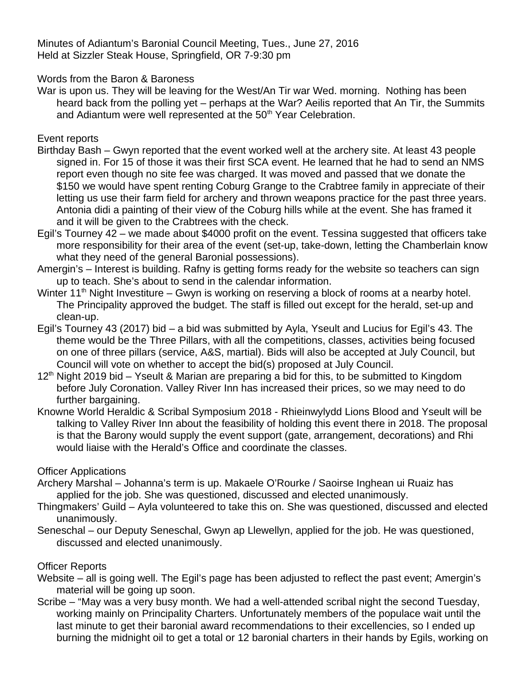Minutes of Adiantum's Baronial Council Meeting, Tues., June 27, 2016 Held at Sizzler Steak House, Springfield, OR 7-9:30 pm

Words from the Baron & Baroness

War is upon us. They will be leaving for the West/An Tir war Wed. morning. Nothing has been heard back from the polling yet – perhaps at the War? Aeilis reported that An Tir, the Summits and Adiantum were well represented at the 50<sup>th</sup> Year Celebration.

Event reports

- Birthday Bash Gwyn reported that the event worked well at the archery site. At least 43 people signed in. For 15 of those it was their first SCA event. He learned that he had to send an NMS report even though no site fee was charged. It was moved and passed that we donate the \$150 we would have spent renting Coburg Grange to the Crabtree family in appreciate of their letting us use their farm field for archery and thrown weapons practice for the past three years. Antonia didi a painting of their view of the Coburg hills while at the event. She has framed it and it will be given to the Crabtrees with the check.
- Egil's Tourney 42 we made about \$4000 profit on the event. Tessina suggested that officers take more responsibility for their area of the event (set-up, take-down, letting the Chamberlain know what they need of the general Baronial possessions).
- Amergin's Interest is building. Rafny is getting forms ready for the website so teachers can sign up to teach. She's about to send in the calendar information.
- Winter  $11<sup>th</sup>$  Night Investiture Gwyn is working on reserving a block of rooms at a nearby hotel. The Principality approved the budget. The staff is filled out except for the herald, set-up and clean-up.
- Egil's Tourney 43 (2017) bid a bid was submitted by Ayla, Yseult and Lucius for Egil's 43. The theme would be the Three Pillars, with all the competitions, classes, activities being focused on one of three pillars (service, A&S, martial). Bids will also be accepted at July Council, but Council will vote on whether to accept the bid(s) proposed at July Council.
- $12<sup>th</sup>$  Night 2019 bid Yseult & Marian are preparing a bid for this, to be submitted to Kingdom before July Coronation. Valley River Inn has increased their prices, so we may need to do further bargaining.
- Knowne World Heraldic & Scribal Symposium 2018 Rhieinwylydd Lions Blood and Yseult will be talking to Valley River Inn about the feasibility of holding this event there in 2018. The proposal is that the Barony would supply the event support (gate, arrangement, decorations) and Rhi would liaise with the Herald's Office and coordinate the classes.

## Officer Applications

- Archery Marshal Johanna's term is up. Makaele O'Rourke / Saoirse Inghean ui Ruaiz has applied for the job. She was questioned, discussed and elected unanimously.
- Thingmakers' Guild Ayla volunteered to take this on. She was questioned, discussed and elected unanimously.
- Seneschal our Deputy Seneschal, Gwyn ap Llewellyn, applied for the job. He was questioned, discussed and elected unanimously.

## Officer Reports

- Website all is going well. The Egil's page has been adjusted to reflect the past event; Amergin's material will be going up soon.
- Scribe "May was a very busy month. We had a well-attended scribal night the second Tuesday, working mainly on Principality Charters. Unfortunately members of the populace wait until the last minute to get their baronial award recommendations to their excellencies, so I ended up burning the midnight oil to get a total or 12 baronial charters in their hands by Egils, working on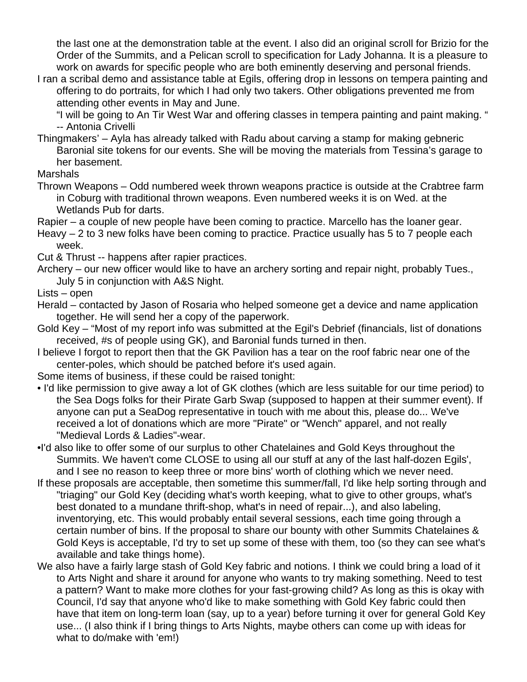the last one at the demonstration table at the event. I also did an original scroll for Brizio for the Order of the Summits, and a Pelican scroll to specification for Lady Johanna. It is a pleasure to work on awards for specific people who are both eminently deserving and personal friends.

I ran a scribal demo and assistance table at Egils, offering drop in lessons on tempera painting and offering to do portraits, for which I had only two takers. Other obligations prevented me from attending other events in May and June.

"I will be going to An Tir West War and offering classes in tempera painting and paint making. " -- Antonia Crivelli

Thingmakers' – Ayla has already talked with Radu about carving a stamp for making gebneric Baronial site tokens for our events. She will be moving the materials from Tessina's garage to her basement.

Marshals

Thrown Weapons – Odd numbered week thrown weapons practice is outside at the Crabtree farm in Coburg with traditional thrown weapons. Even numbered weeks it is on Wed. at the Wetlands Pub for darts.

Rapier – a couple of new people have been coming to practice. Marcello has the loaner gear.

- Heavy 2 to 3 new folks have been coming to practice. Practice usually has 5 to 7 people each week.
- Cut & Thrust -- happens after rapier practices.
- Archery our new officer would like to have an archery sorting and repair night, probably Tues., July 5 in conjunction with A&S Night.

Lists – open

- Herald contacted by Jason of Rosaria who helped someone get a device and name application together. He will send her a copy of the paperwork.
- Gold Key "Most of my report info was submitted at the Egil's Debrief (financials, list of donations received, #s of people using GK), and Baronial funds turned in then.
- I believe I forgot to report then that the GK Pavilion has a tear on the roof fabric near one of the center-poles, which should be patched before it's used again.
- Some items of business, if these could be raised tonight:
- I'd like permission to give away a lot of GK clothes (which are less suitable for our time period) to the Sea Dogs folks for their Pirate Garb Swap (supposed to happen at their summer event). If anyone can put a SeaDog representative in touch with me about this, please do... We've received a lot of donations which are more "Pirate" or "Wench" apparel, and not really "Medieval Lords & Ladies"-wear.
- •I'd also like to offer some of our surplus to other Chatelaines and Gold Keys throughout the Summits. We haven't come CLOSE to using all our stuff at any of the last half-dozen Egils', and I see no reason to keep three or more bins' worth of clothing which we never need.
- If these proposals are acceptable, then sometime this summer/fall, I'd like help sorting through and "triaging" our Gold Key (deciding what's worth keeping, what to give to other groups, what's best donated to a mundane thrift-shop, what's in need of repair...), and also labeling, inventorying, etc. This would probably entail several sessions, each time going through a certain number of bins. If the proposal to share our bounty with other Summits Chatelaines & Gold Keys is acceptable, I'd try to set up some of these with them, too (so they can see what's available and take things home).
- We also have a fairly large stash of Gold Key fabric and notions. I think we could bring a load of it to Arts Night and share it around for anyone who wants to try making something. Need to test a pattern? Want to make more clothes for your fast-growing child? As long as this is okay with Council, I'd say that anyone who'd like to make something with Gold Key fabric could then have that item on long-term loan (say, up to a year) before turning it over for general Gold Key use... (I also think if I bring things to Arts Nights, maybe others can come up with ideas for what to do/make with 'em!)